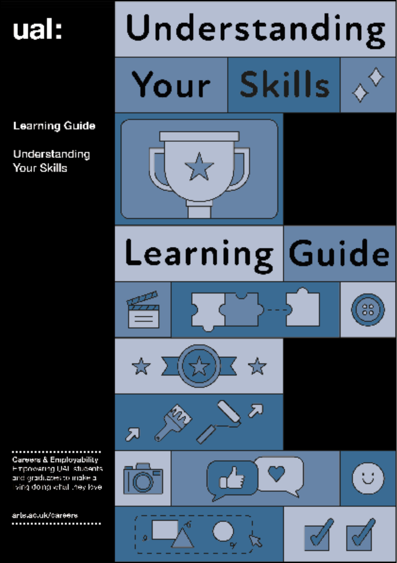## ual:

Understanding

**Skills** Your

**Learning Guide** 

Understanding **Your Skills** 

















artelac.uk/careers .......................

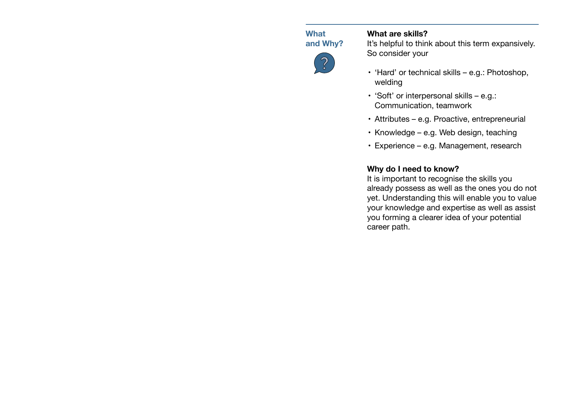**What and Why?**

# $\widetilde{\mathcal{C}}$

## **What are skills?**

It's helpful to think about this term expansively. So consider your

- 'Hard' or technical skills e.g.: Photoshop, welding
- $\cdot$  'Soft' or interpersonal skills e.g.: Communication, teamwork
- • Attributes e.g. Proactive, entrepreneurial
- $\cdot$  Knowledge e.g. Web design, teaching
- • Experience e.g. Management, research

## **Why do I need to know?**

It is important to recognise the skills you already possess as well as the ones you do not yet. Understanding this will enable you to value your knowledge and expertise as well as assist you forming a clearer idea of your potential career path.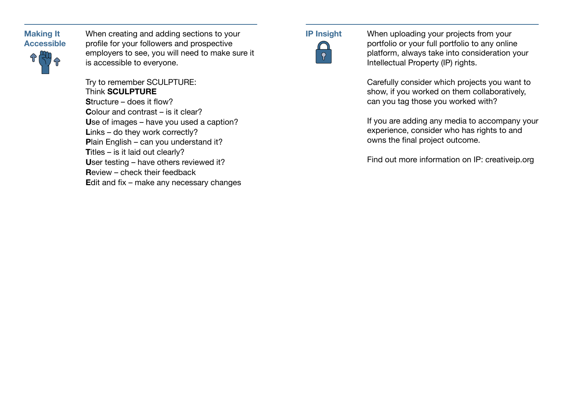

When creating and adding sections to your **IP Insight** profile for your followers and prospective employers to see, you will need to make sure it is accessible to everyone.

Try to remember SCULPTURE: Think **SCULPTURE S**tructure – does it flow? **C**olour and contrast – is it clear? **U**se of images – have you used a caption? Links – do they work correctly? **P**lain English – can you understand it? **Titles – is it laid out clearly? U**ser testing – have others reviewed it? **R**eview – check their feedback **E**dit and fix – make any necessary changes



When uploading your projects from your portfolio or your full portfolio to any online platform, always take into consideration your Intellectual Property (IP) rights.

Carefully consider which projects you want to show, if you worked on them collaboratively, can you tag those you worked with?

If you are adding any media to accompany your experience, consider who has rights to and owns the final project outcome.

Find out more information on IP: creativeip.org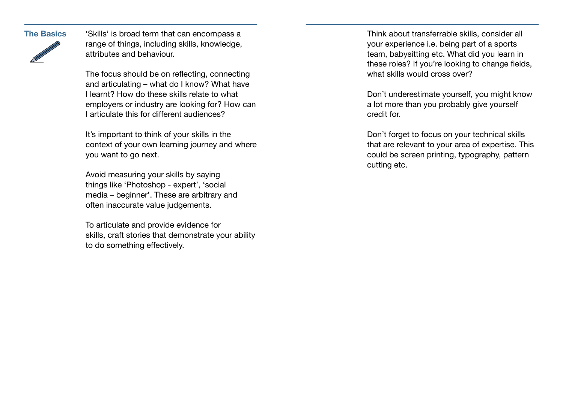

**The Basics** Skills' is broad term that can encompass a **Think about transferrable skills**, consider all range of things, including skills, knowledge, attributes and behaviour.

> The focus should be on reflecting, connecting and articulating – what do I know? What have I learnt? How do these skills relate to what employers or industry are looking for? How can I articulate this for different audiences?

> It's important to think of your skills in the context of your own learning journey and where you want to go next.

Avoid measuring your skills by saying things like 'Photoshop - expert', 'social media – beginner'. These are arbitrary and often inaccurate value judgements.

To articulate and provide evidence for skills, craft stories that demonstrate your ability to do something effectively.

your experience i.e. being part of a sports team, babysitting etc. What did you learn in these roles? If you're looking to change fields, what skills would cross over?

Don't underestimate yourself, you might know a lot more than you probably give yourself credit for.

Don't forget to focus on your technical skills that are relevant to your area of expertise. This could be screen printing, typography, pattern cutting etc.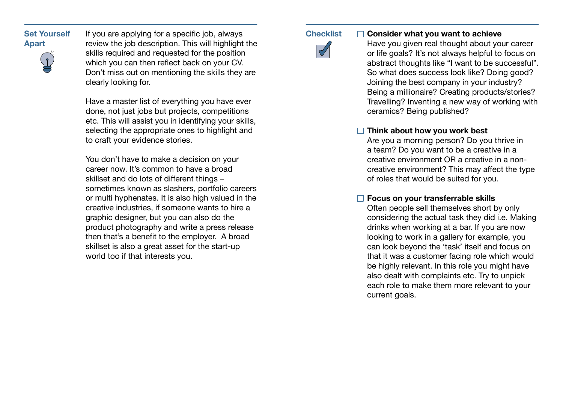**Set Yourself Apart** 



If you are applying for a specific job, always review the job description. This will highlight the skills required and requested for the position which you can then reflect back on your CV. Don't miss out on mentioning the skills they are clearly looking for.

Have a master list of everything you have ever done, not just jobs but projects, competitions etc. This will assist you in identifying your skills, selecting the appropriate ones to highlight and to craft your evidence stories.

You don't have to make a decision on your career now. It's common to have a broad skillset and do lots of different things – sometimes known as slashers, portfolio careers or multi hyphenates. It is also high valued in the creative industries, if someone wants to hire a graphic designer, but you can also do the product photography and write a press release then that's a benefit to the employer.  A broad skillset is also a great asset for the start-up world too if that interests you.

**Checklist** 

**Consider what you want to achieve**   $\Box$ 

Have you given real thought about your career or life goals? It's not always helpful to focus on abstract thoughts like "I want to be successful". So what does success look like? Doing good? Joining the best company in your industry? Being a millionaire? Creating products/stories? Travelling? Inventing a new way of working with ceramics? Being published?

## **Think about how you work best**

Are you a morning person? Do you thrive in a team? Do you want to be a creative in a creative environment OR a creative in a noncreative environment? This may affect the type of roles that would be suited for you.

## **Focus on your transferrable skills**

Often people sell themselves short by only considering the actual task they did i.e. Making drinks when working at a bar. If you are now looking to work in a gallery for example, you can look beyond the 'task' itself and focus on that it was a customer facing role which would be highly relevant. In this role you might have also dealt with complaints etc. Try to unpick each role to make them more relevant to your current goals.